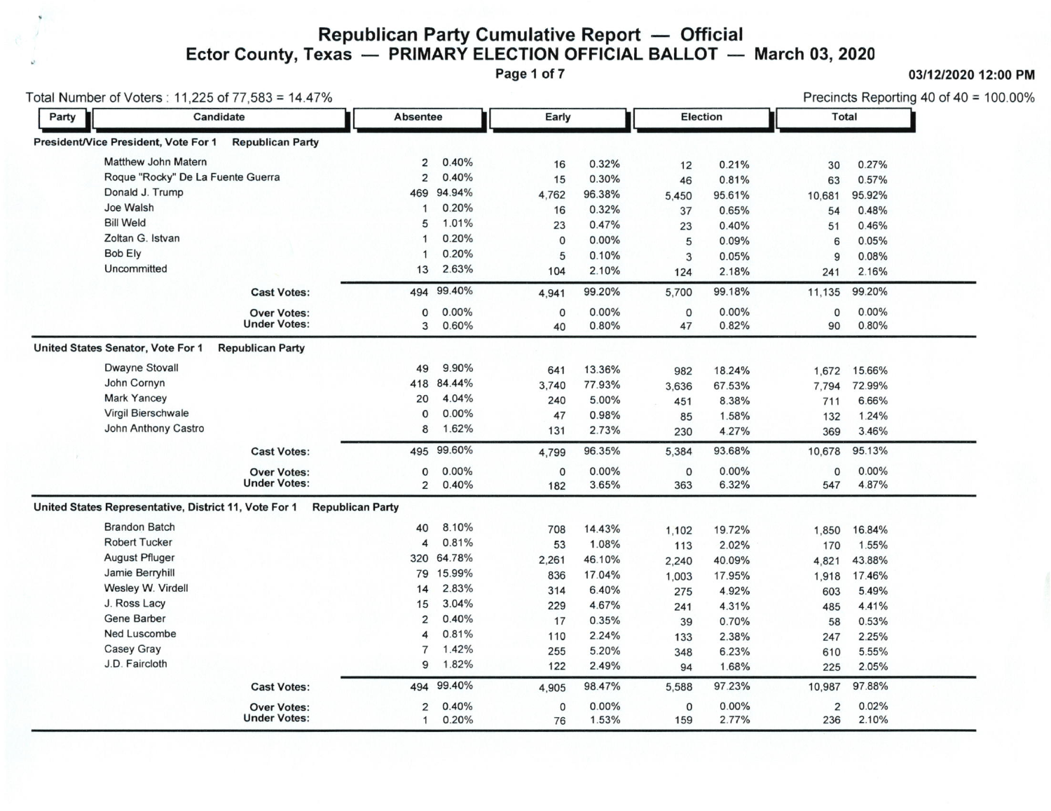## Republican Party Cumulative Report - Official<br>Ector County, Texas - PRIMARY ELECTION OFFICIAL BALLOT - March 03, 2020

Page 1 of 7

## 03/12/2020 12:00 PM

| Party |                                                       | Candidate               | <b>Absentee</b>         | Early      |         |          |             | <b>Election</b> | <b>Total</b> |          |
|-------|-------------------------------------------------------|-------------------------|-------------------------|------------|---------|----------|-------------|-----------------|--------------|----------|
|       |                                                       |                         |                         |            |         |          |             |                 |              |          |
|       | President/Vice President, Vote For 1                  | <b>Republican Party</b> |                         |            |         |          |             |                 |              |          |
|       | <b>Matthew John Matern</b>                            |                         | $\overline{2}$          | 0.40%      | 16      | 0.32%    | 12          | 0.21%           | 30           | 0.27%    |
|       | Roque "Rocky" De La Fuente Guerra                     |                         | $\overline{2}$          | 0.40%      | 15      | 0.30%    | 46          | 0.81%           | 63           | 0.57%    |
|       | Donald J. Trump                                       |                         | 469                     | 94.94%     | 4.762   | 96.38%   | 5,450       | 95.61%          | 10,681       | 95.92%   |
|       | Joe Walsh                                             |                         | 1                       | 0.20%      | 16      | 0.32%    | 37          | 0.65%           | 54           | 0.48%    |
|       | <b>Bill Weld</b>                                      |                         | 5                       | 1.01%      | 23      | 0.47%    | 23          | 0.40%           | 51           | 0.46%    |
|       | Zoltan G. Istvan                                      |                         | 1                       | 0.20%      | 0       | 0.00%    | 5           | 0.09%           | 6            | 0.05%    |
|       | <b>Bob Ely</b>                                        |                         | 1                       | 0.20%      | 5       | 0.10%    | 3           | 0.05%           | 9            | 0.08%    |
|       | Uncommitted                                           |                         | 13                      | 2.63%      | 104     | 2.10%    | 124         | 2.18%           | 241          | 2.16%    |
|       |                                                       | <b>Cast Votes:</b>      | 494                     | 99.40%     | 4,941   | 99.20%   | 5,700       | 99.18%          | 11,135       | 99.20%   |
|       |                                                       | <b>Over Votes:</b>      | 0                       | 0.00%      | 0       | $0.00\%$ | $\mathbf 0$ | 0.00%           | $\mathbf{0}$ | $0.00\%$ |
|       |                                                       | <b>Under Votes:</b>     | 3                       | 0.60%      | 40      | 0.80%    | 47          | 0.82%           | 90           | 0.80%    |
|       | United States Senator, Vote For 1                     | <b>Republican Party</b> |                         |            |         |          |             |                 |              |          |
|       | <b>Dwayne Stovall</b>                                 |                         | 49                      | 9.90%      | 641     | 13.36%   | 982         | 18.24%          | 1,672        | 15.66%   |
|       | John Cornyn                                           |                         | 418                     | 84.44%     | 3,740   | 77.93%   | 3,636       | 67.53%          | 7,794        | 72.99%   |
|       | <b>Mark Yancey</b>                                    |                         | 20                      | 4.04%      | 240     | 5.00%    | 451         | 8.38%           | 711          | 6.66%    |
|       | Virgil Bierschwale                                    |                         | $\Omega$                | 0.00%      | 47      | 0.98%    | 85          | 1.58%           | 132          | 1.24%    |
|       | John Anthony Castro                                   |                         | 8                       | 1.62%      | 131     | 2.73%    | 230         | 4.27%           | 369          | 3.46%    |
|       |                                                       | <b>Cast Votes:</b>      |                         | 495 99.60% | 4.799   | 96.35%   | 5,384       | 93.68%          | 10,678       | 95.13%   |
|       |                                                       | <b>Over Votes:</b>      | $\mathbf 0$             | 0.00%      | $\circ$ | $0.00\%$ | 0           | 0.00%           | $\mathbf 0$  | $0.00\%$ |
|       |                                                       | <b>Under Votes:</b>     | $\overline{2}$          | 0.40%      | 182     | 3.65%    | 363         | 6.32%           | 547          | 4.87%    |
|       | United States Representative, District 11, Vote For 1 |                         | <b>Republican Party</b> |            |         |          |             |                 |              |          |
|       | <b>Brandon Batch</b>                                  |                         | 40                      | 8.10%      | 708     | 14.43%   | 1,102       | 19.72%          | 1,850        | 16.84%   |
|       | <b>Robert Tucker</b>                                  |                         | $\overline{4}$          | 0.81%      | 53      | 1.08%    | 113         | 2.02%           | 170          | 1.55%    |
|       | <b>August Pfluger</b>                                 |                         | 320                     | 64.78%     | 2,261   | 46.10%   | 2,240       | 40.09%          | 4,821        | 43.88%   |
|       | Jamie Berryhill                                       |                         | 79                      | 15.99%     | 836     | 17.04%   | 1,003       | 17.95%          | 1,918        | 17.46%   |
|       | Wesley W. Virdell                                     |                         | 14                      | 2.83%      | 314     | 6.40%    | 275         | 4.92%           | 603          | 5.49%    |
|       | J. Ross Lacy                                          |                         | 15                      | 3.04%      | 229     | 4.67%    | 241         | 4.31%           | 485          | 4.41%    |
|       | <b>Gene Barber</b>                                    |                         | $\overline{2}$          | 0.40%      | 17      | 0.35%    | 39          | 0.70%           | 58           | 0.53%    |
|       | <b>Ned Luscombe</b>                                   |                         | 4                       | 0.81%      | 110     | 2.24%    | 133         | 2.38%           | 247          | 2.25%    |
|       | <b>Casey Gray</b>                                     |                         | $\overline{7}$          | 1.42%      | 255     | 5.20%    | 348         | 6.23%           | 610          | 5.55%    |
|       | J.D. Faircloth                                        |                         | 9                       | 1.82%      | 122     | 2.49%    | 94          | 1.68%           | 225          | 2.05%    |
|       |                                                       | <b>Cast Votes:</b>      | 494                     | 99.40%     | 4,905   | 98.47%   | 5,588       | 97.23%          | 10,987       | 97.88%   |
|       |                                                       | <b>Over Votes:</b>      | 2                       | 0.40%      | 0       | $0.00\%$ | 0           | 0.00%           | 2            | 0.02%    |
|       |                                                       | <b>Under Votes:</b>     | 1                       | 0.20%      | 76      | 1.53%    | 159         | 2.77%           | 236          | 2.10%    |